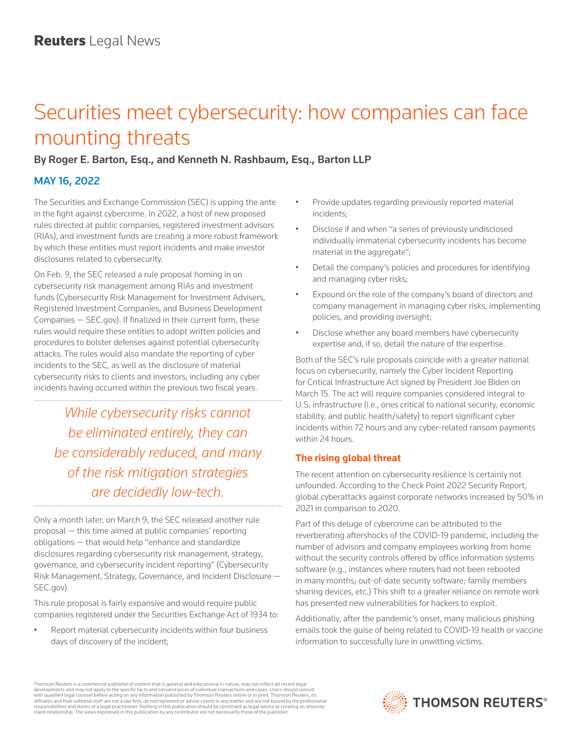# Securities meet cybersecurity: how companies can face mounting threats

## By Roger E. Barton, Esq., and Kenneth N. Rashbaum, Esq., Barton LLP

## MAY 16, 2022

The Securities and Exchange Commission (SEC) is upping the ante in the fight against cybercrime. In 2022, a host of new proposed rules directed at public companies, registered investment advisors (RIAs), and investment funds are creating a more robust framework by which these entities must report incidents and make investor disclosures related to cybersecurity.

On Feb. 9, the SEC released a rule proposal homing in on cybersecurity risk management among RIAs and investment funds (Cybersecurity Risk Management for Investment Advisers, Registered Investment Companies, and Business Development Companies — SEC.gov). If finalized in their current form, these rules would require these entities to adopt written policies and procedures to bolster defenses against potential cybersecurity attacks. The rules would also mandate the reporting of cyber incidents to the SEC, as well as the disclosure of material cybersecurity risks to clients and investors, including any cyber incidents having occurred within the previous two fiscal years.

*While cybersecurity risks cannot be eliminated entirely, they can be considerably reduced, and many of the risk mitigation strategies are decidedly low-tech.* 

Only a month later, on March 9, the SEC released another rule proposal — this time aimed at public companies' reporting obligations — that would help "enhance and standardize disclosures regarding cybersecurity risk management, strategy, governance, and cybersecurity incident reporting" (Cybersecurity Risk Management, Strategy, Governance, and Incident Disclosure — SEC.gov).

This rule proposal is fairly expansive and would require public companies registered under the Securities Exchange Act of 1934 to:

Report material cybersecurity incidents within four business days of discovery of the incident;

- Provide updates regarding previously reported material incidents;
- Disclose if and when "a series of previously undisclosed individually immaterial cybersecurity incidents has become material in the aggregate";
- Detail the company's policies and procedures for identifying and managing cyber risks;
- Expound on the role of the company's board of directors and company management in managing cyber risks, implementing policies, and providing oversight;
- Disclose whether any board members have cybersecurity expertise and, if so, detail the nature of the expertise.

Both of the SEC's rule proposals coincide with a greater national focus on cybersecurity, namely the Cyber Incident Reporting for Critical Infrastructure Act signed by President Joe Biden on March 15. The act will require companies considered integral to U.S. infrastructure (i.e., ones critical to national security, economic stability, and public health/safety) to report significant cyber incidents within 72 hours and any cyber-related ransom payments within 24 hours.

### **The rising global threat**

The recent attention on cybersecurity resilience is certainly not unfounded. According to the Check Point 2022 Security Report, global cyberattacks against corporate networks increased by 50% in 2021 in comparison to 2020.

Part of this deluge of cybercrime can be attributed to the reverberating aftershocks of the COVID-19 pandemic, including the number of advisors and company employees working from home without the security controls offered by office information systems software (e.g., instances where routers had not been rebooted in many months; out-of-date security software; family members sharing devices, etc.) This shift to a greater reliance on remote work has presented new vulnerabilities for hackers to exploit.

Additionally, after the pandemic's onset, many malicious phishing emails took the guise of being related to COVID-19 health or vaccine information to successfully lure in unwitting victims.

Thomson Reuters is a commercial publisher of content that is general and educational in nature, may not reflect all recent legal developments and may not apply to the specific facts and circumstances of individual transactions and cases. Users should consult<br>with qualified legal counsel before acting on any information published by Thomson Reuters o responsibilities and duties of a legal practitioner. Nothing in this publication should be construed as legal advice or creating an attorneyclient relationship. The views expressed in this publication by any contributor are not necessarily those of the publisher.

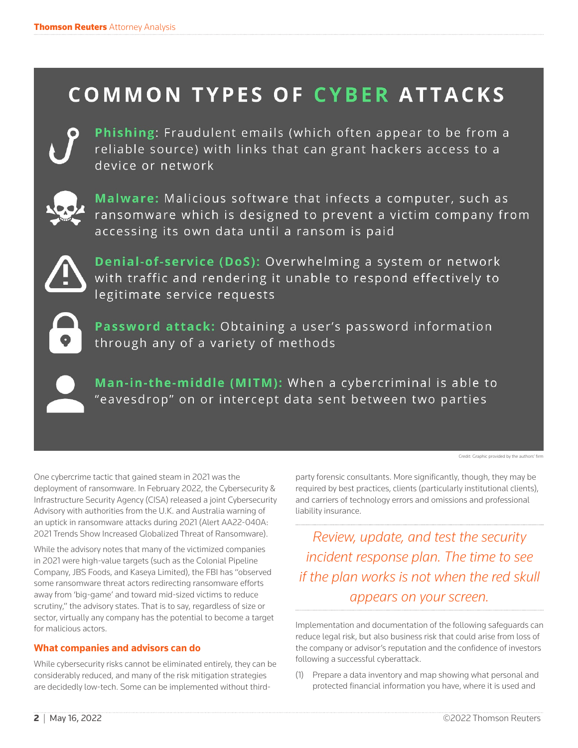# **COMMON TYPES OF CYBER ATTACKS**

Phishing: Fraudulent emails (which often appear to be from a reliable source) with links that can grant hackers access to a device or network



Malware: Malicious software that infects a computer, such as ransomware which is designed to prevent a victim company from accessing its own data until a ransom is paid



Denial-of-service (DoS): Overwhelming a system or network with traffic and rendering it unable to respond effectively to legitimate service requests



Password attack: Obtaining a user's password information through any of a variety of methods

Man-in-the-middle (MITM): When a cybercriminal is able to "eavesdrop" on or intercept data sent between two parties

One cybercrime tactic that gained steam in 2021 was the deployment of ransomware. In February 2022, the Cybersecurity & Infrastructure Security Agency (CISA) released a joint Cybersecurity Advisory with authorities from the U.K. and Australia warning of an uptick in ransomware attacks during 2021 (Alert AA22-040A: 2021 Trends Show Increased Globalized Threat of Ransomware).

While the advisory notes that many of the victimized companies in 2021 were high-value targets (such as the Colonial Pipeline Company, JBS Foods, and Kaseya Limited), the FBI has "observed some ransomware threat actors redirecting ransomware efforts away from 'big-game' and toward mid-sized victims to reduce scrutiny," the advisory states. That is to say, regardless of size or sector, virtually any company has the potential to become a target for malicious actors.

### **What companies and advisors can do**

While cybersecurity risks cannot be eliminated entirely, they can be considerably reduced, and many of the risk mitigation strategies are decidedly low-tech. Some can be implemented without thirdCredit: Graphic provided by the authors' firm

party forensic consultants. More significantly, though, they may be required by best practices, clients (particularly institutional clients), and carriers of technology errors and omissions and professional liability insurance.

*Review, update, and test the security incident response plan. The time to see if the plan works is not when the red skull appears on your screen.*

Implementation and documentation of the following safeguards can reduce legal risk, but also business risk that could arise from loss of the company or advisor's reputation and the confidence of investors following a successful cyberattack.

(1) Prepare a data inventory and map showing what personal and protected financial information you have, where it is used and